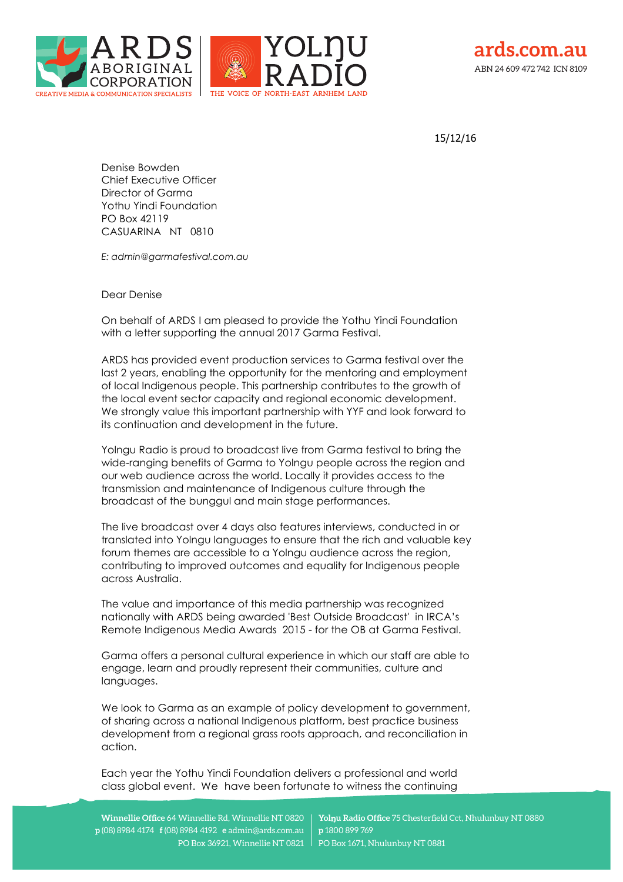





15/12/16

Denise Bowden Chief Executive Officer Director of Garma Yothu Yindi Foundation PO Box 42119 CASUARINA NT 0810

*E: admin@garmafestival.com.au*

Dear Denise

On behalf of ARDS I am pleased to provide the Yothu Yindi Foundation with a letter supporting the annual 2017 Garma Festival.

ARDS has provided event production services to Garma festival over the last 2 years, enabling the opportunity for the mentoring and employment of local Indigenous people. This partnership contributes to the growth of the local event sector capacity and regional economic development. We strongly value this important partnership with YYF and look forward to its continuation and development in the future.

Yolngu Radio is proud to broadcast live from Garma festival to bring the wide-ranging benefits of Garma to Yolngu people across the region and our web audience across the world. Locally it provides access to the transmission and maintenance of Indigenous culture through the broadcast of the bunggul and main stage performances.

The live broadcast over 4 days also features interviews, conducted in or translated into Yolngu languages to ensure that the rich and valuable key forum themes are accessible to a Yolngu audience across the region, contributing to improved outcomes and equality for Indigenous people across Australia.

The value and importance of this media partnership was recognized nationally with ARDS being awarded 'Best Outside Broadcast' in IRCA's Remote Indigenous Media Awards 2015 - for the OB at Garma Festival.

Garma offers a personal cultural experience in which our staff are able to engage, learn and proudly represent their communities, culture and languages.

We look to Garma as an example of policy development to government, of sharing across a national Indigenous platform, best practice business development from a regional grass roots approach, and reconciliation in action.

Each year the Yothu Yindi Foundation delivers a professional and world class global event. We have been fortunate to witness the continuing